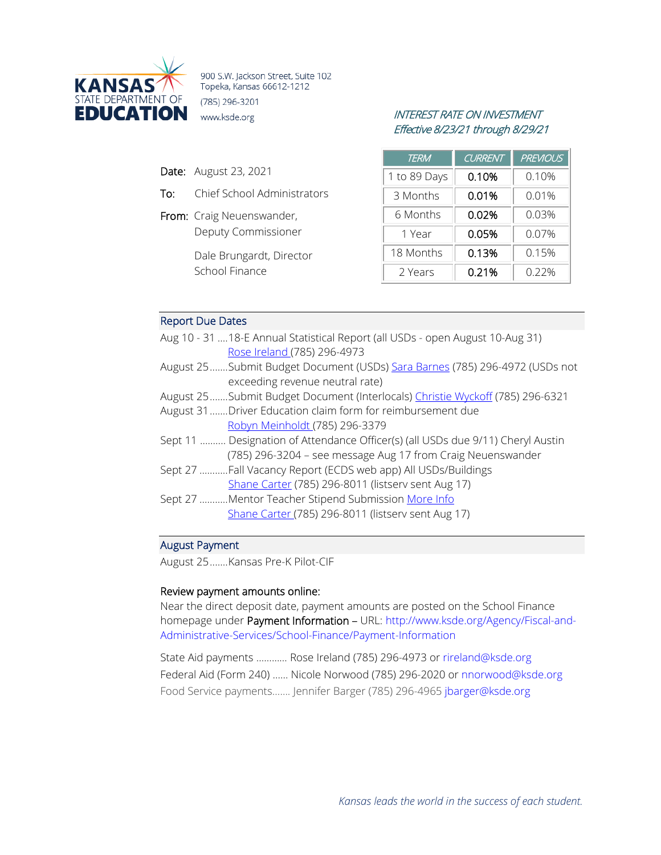

900 S.W. Jackson Street, Suite 102 Topeka, Kansas 66612-1212 (785) 296-3201 **EDUCATION** www.ksde.org *INTEREST RATE ON INVESTMENT* 

- Date: August 23, 2021
- To: Chief School Administrators
- From: Craig Neuenswander, Deputy Commissioner

Dale Brungardt, Director School Finance

# Effective 8/23/21 through 8/29/21

| TERM         | <b>CURRENT</b> | <b>PREVIOUS</b> |
|--------------|----------------|-----------------|
| 1 to 89 Days | 0.10%          | 0.10%           |
| 3 Months     | 0.01%          | 0.01%           |
| 6 Months     | 0.02%          | 0.03%           |
| 1 Year       | 0.05%          | $0.07\%$        |
| 18 Months    | 0.13%          | 0.15%           |
| 2 Years      | 0.21%          | 0.22%           |

# Report Due Dates

| Aug 10 - 31  18-E Annual Statistical Report (all USDs - open August 10-Aug 31)  |
|---------------------------------------------------------------------------------|
| Rose Ireland (785) 296-4973                                                     |
| August 25Submit Budget Document (USDs) Sara Barnes (785) 296-4972 (USDs not     |
| exceeding revenue neutral rate)                                                 |
| August 25Submit Budget Document (Interlocals) Christie Wyckoff (785) 296-6321   |
| August 31 Driver Education claim form for reimbursement due                     |
| Robyn Meinholdt (785) 296-3379                                                  |
| Sept 11  Designation of Attendance Officer(s) (all USDs due 9/11) Cheryl Austin |
| (785) 296-3204 - see message Aug 17 from Craig Neuenswander                     |
| Sept 27 Fall Vacancy Report (ECDS web app) All USDs/Buildings                   |
| Shane Carter (785) 296-8011 (listserv sent Aug 17)                              |
| Sept 27 Mentor Teacher Stipend Submission More Info                             |
| Shane Carter (785) 296-8011 (listserv sent Aug 17)                              |
|                                                                                 |

#### August Payment

August 25.......Kansas Pre-K Pilot-CIF

#### Review payment amounts online:

Near the direct deposit date, payment amounts are posted on the School Finance homepage under Payment Information – URL: [http://www.ksde.org/Agency/Fiscal-and-](http://www.ksde.org/Agency/Fiscal-and-Administrative-Services/School-Finance/Payment-Information)[Administrative-Services/School-Finance/Payment-Information](http://www.ksde.org/Agency/Fiscal-and-Administrative-Services/School-Finance/Payment-Information)

State Aid payments ………… Rose Ireland (785) 296-4973 or [rireland@ksde.org](mailto:rireland@ksde.org)  Federal Aid (Form 240) …… Nicole Norwood (785) 296-2020 or [nnorwood@ksde.org](mailto:nnorwood@ksde.org) Food Service payments……. Jennifer Barger (785) 296-4965 [jbarger@ksde.org](mailto:jbarger@ksde.org)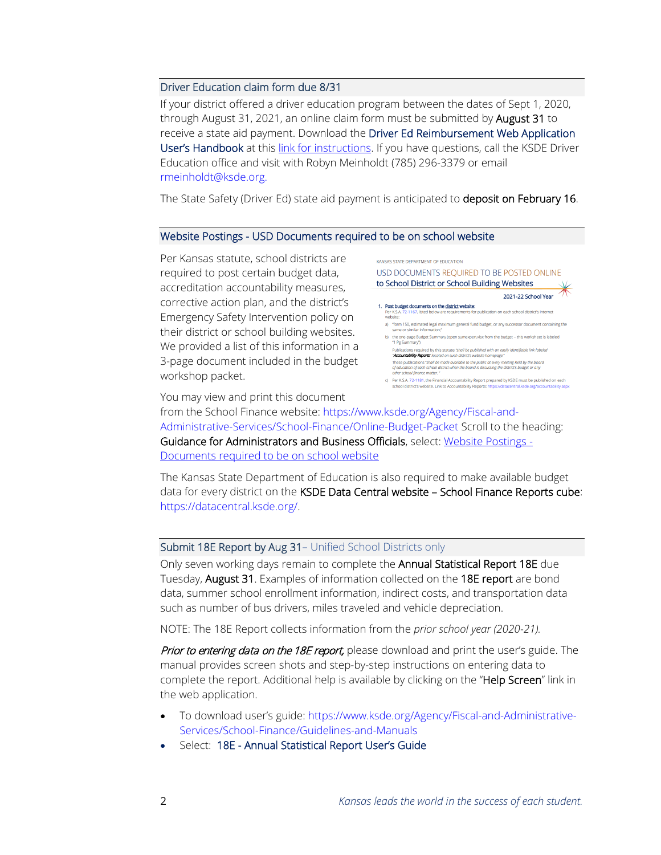# Driver Education claim form due 8/31

If your district offered a driver education program between the dates of Sept 1, 2020, through August 31, 2021, an online claim form must be submitted by August 31 to receive a state aid payment. Download the Driver Ed Reimbursement Web Application User's Handbook at this [link for instructions.](https://www.ksde.org/Portals/0/School%20Finance/guidelines_manuals/Driver%20Ed%20User) If you have questions, call the KSDE Driver Education office and visit with Robyn Meinholdt (785) 296-3379 or email [rmeinholdt@ksde.org.](mailto:rmeinholdt@ksde.org)

The State Safety (Driver Ed) state aid payment is anticipated to deposit on February 16.

#### Website Postings - USD Documents required to be on school website

Per Kansas statute, school districts are required to post certain budget data, accreditation accountability measures, corrective action plan, and the district's Emergency Safety Intervention policy on their district or school building websites. We provided a list of this information in a 3-page document included in the budget workshop packet.



You may view and print this document

from the School Finance website: [https://www.ksde.org/Agency/Fiscal-and-](https://www.ksde.org/Agency/Fiscal-and-Administrative-Services/School-Finance/Online-Budget-Packet)[Administrative-Services/School-Finance/Online-Budget-Packet](https://www.ksde.org/Agency/Fiscal-and-Administrative-Services/School-Finance/Online-Budget-Packet) Scroll to the heading: Guidance for Administrators and Business Officials, select: [Website Postings -](https://www.ksde.org/Portals/0/School%20Finance/budget/Online%20Budget%20Packet/post%20to%20USD%20website.pdf?ver=2021-08-23-082340-517) [Documents required to be on school website](https://www.ksde.org/Portals/0/School%20Finance/budget/Online%20Budget%20Packet/post%20to%20USD%20website.pdf?ver=2021-08-23-082340-517)

The Kansas State Department of Education is also required to make available budget data for every district on the KSDE Data Central website - School Finance Reports cube: [https://datacentral.ksde.org/.](https://datacentral.ksde.org/)

#### Submit 18E Report by Aug 31– Unified School Districts only

Only seven working days remain to complete the Annual Statistical Report 18E due Tuesday, **August 31**. Examples of information collected on the 18E report are bond data, summer school enrollment information, indirect costs, and transportation data such as number of bus drivers, miles traveled and vehicle depreciation.

NOTE: The 18E Report collects information from the *prior school year (2020-21).*

Prior to entering data on the 18E report, please download and print the user's guide. The manual provides screen shots and step-by-step instructions on entering data to complete the report. Additional help is available by clicking on the "Help Screen" link in the web application.

- To download user's guide: [https://www.ksde.org/Agency/Fiscal-and-Administrative-](https://www.ksde.org/Agency/Fiscal-and-Administrative-Services/School-Finance/Guidelines-and-Manuals)[Services/School-Finance/Guidelines-and-Manuals](https://www.ksde.org/Agency/Fiscal-and-Administrative-Services/School-Finance/Guidelines-and-Manuals)
- Select: 18E Annual Statistical Report User's Guide